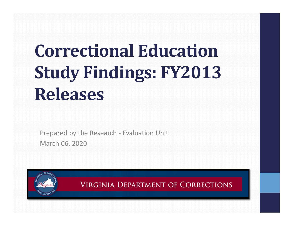# **Correctional EducationStudy Findings: FY2013 Releases**

Prepared by the Research ‐ Evaluation Unit March 06, 2020

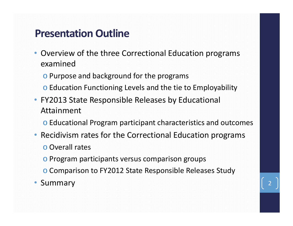#### **Presentation Outline**

- Overview of the three Correctional Education programs examined
	- o Purpose and background for the programs
	- o Education Functioning Levels and the tie to Employability
- FY2013 State Responsible Releases by Educational Attainment
	- o Educational Program participant characteristics and outcomes
- Recidivism rates for the Correctional Education programs o Overall rates
	- o Program participants versus comparison groups
	- o Comparison to FY2012 State Responsible Releases Study
- Summary 2014 2015 2016 2021 2022 2023 2024 2024 2025 2027 2028 2024 2025 2027 2028 2024 2025 2027 2028 2027 20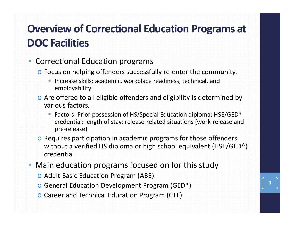# **Overview of Correctional Education Programs at DOC Facilities**

#### •Correctional Education programs

- o Focus on helping offenders successfully re‐enter the community.
	- Increase skills: academic, workplace readiness, technical, and employability
- o Are offered to all eligible offenders and eligibility is determined by various factors.
	- Factors: Prior possession of HS/Special Education diploma; HSE/GED<sup>®</sup> credential; length of stay; release‐related situations (work‐release and pre‐release)
- o Requires participation in academic programs for those offenders without a verified HS diploma or high school equivalent (HSE/GED®) credential.
- Main education programs focused on for this study
	- o Adult Basic Education Program (ABE)
	- o General Education Development Program (GED®)
	- o Career and Technical Education Program (CTE)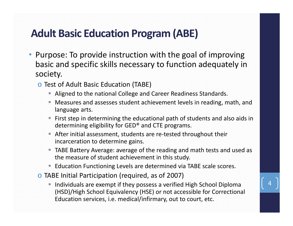### **Adult Basic Education Program (ABE)**

- Purpose: To provide instruction with the goal of improving basic and specific skills necessary to function adequately in society.
	- o Test of Adult Basic Education (TABE)
		- Aligned to the national College and Career Readiness Standards.
		- П Measures and assesses student achievement levels in reading, math, and language arts.
		- **First step in determining the educational path of students and also aids in** determining eligibility for GED® and CTE programs.
		- After initial assessment, students are re-tested throughout their incarceration to determine gains.
		- TABE Battery Average: average of the reading and math tests and used as the measure of student achievement in this study.
		- **Education Functioning Levels are determined via TABE scale scores.**
	- o TABE Initial Participation (required, as of 2007)
		- **IF Individuals are exempt if they possess a verified High School Diploma** (HSD)/High School Equivalency (HSE) or not accessible for Correctional Education services, i.e. medical/infirmary, out to court, etc.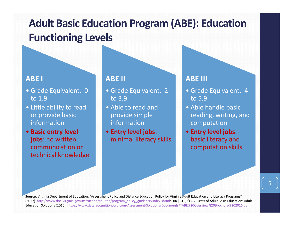# **Adult Basic Education Program (ABE): Education Functioning Levels**

#### **ABE I**

- Grade Equivalent: 0 to 1.9
- Little ability to read or provide basic information
- **Basic entry level jobs**: no written communication or technical knowledge

#### **ABE II**

- Grade Equivalent: 2 to 3.9
- Able to read and provide simple information
- **Entry level jobs**: minimal literacy skills

#### **ABE III**

- Grade Equivalent: 4 to 5.9
- Able handle basic reading, writing, and computation
- **Entry level jobs**: basic literacy and computation skills

**Source:** Virginia Department of Education, "Assessment Policy and Distance Education Policy for Virginia Adult Education and Literacy Programs" (2017). http://www.doe.virginia.gov/instruction/adulted/program\_policy\_guidance/index.shtml; DRC|CTB, "TABE Tests of Adult Basic Education: Adult Education Solutions (2016). https://www.datarecognitioncorp.com/Assessment‐Solutions/Documents/TABE%20Overview%20Brochure%202016.pdf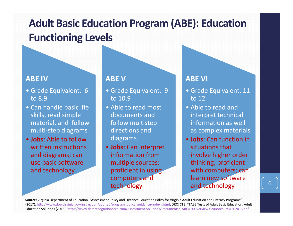# **Adult Basic Education Program (ABE): Education Functioning Levels**

#### **ABE IV**

- Grade Equivalent: 6 to 8.9
- Can handle basic life skills, read simple material, and follow multi‐step diagrams
- **Jobs**: Able to follow written instructions and diagrams; can use basic software and technology

#### **ABE V**

- Grade Equivalent: 9 to 10.9
- Able to read most documents and follow multistep directions and diagrams
- **Jobs**: Can interpret information from multiple sources; proficient in using computers and technology

#### **ABE VI**

- Grade Equivalent: 11 to 12
- Able to read and interpret technical information as well as complex materials
- **Jobs**: Can function in situations that involve higher order thinking; proficient with computers; can learn new software and technology

**Source:** Virginia Department of Education, "Assessment Policy and Distance Education Policy for Virginia Adult Education and Literacy Programs" (2017). http://www.doe.virginia.gov/instruction/adulted/program\_policy\_guidance/index.shtml; DRC|CTB, "TABE Tests of Adult Basic Education: Adult Education Solutions (2016). https://www.datarecognitioncorp.com/Assessment‐Solutions/Documents/TABE%20Overview%20Brochure%202016.pdf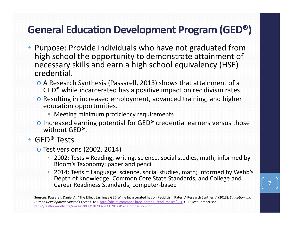### **General Education Development Program (GED®)**

- Purpose: Provide individuals who have not graduated from high school the opportunity to demonstrate attainment of necessary skills and earn a high school equivalency (HSE) credential.
	- o A Research Synthesis (Passarell, 2013) shows that attainment of a GED® while incarcerated has a positive impact on recidivism rates.
	- o Resulting in increased employment, advanced training, and higher education opportunities.
		- **Meeting minimum proficiency requirements**
	- $\circ$  Increased earning potential for GED® credential earners versus those without GED®.
- GED® Tests
	- o Test versions (2002, 2014)
		- 2002: Tests = Reading, writing, science, social studies, math; informed by Bloom's Taxonomy; paper and pencil
		- 2014: Tests = Language, science, social studies, math; informed by Webb's Depth of Knowledge, Common Core State Standards, and College and Career Readiness Standards; computer‐based

**Sources:** Passarell, Daniel A., "The Effect Earning a GED While Incarcerated has on Recidivism Rates: A Research Synthesis" (2013). *Education and Human Development Master's Theses*. 181. http://digitalcommons.brockport.edu/ehd\_theses/181; GED Test Comparison: http://fastforwardla.org/images/KET%202002‐14%20Test%20Comparison.pdf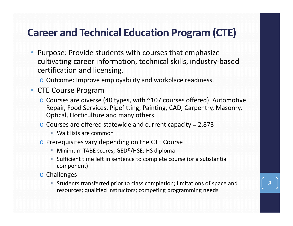### **Career and Technical Education Program (CTE)**

- Purpose: Provide students with courses that emphasize cultivating career information, technical skills, industry‐based certification and licensing.
	- o Outcome: Improve employability and workplace readiness.
- CTE Course Program
	- o Courses are diverse (40 types, with ~107 courses offered): Automotive Repair, Food Services, Pipefitting, Painting, CAD, Carpentry, Masonry, Optical, Horticulture and many others
	- $\circ$  Courses are offered statewide and current capacity = 2,873
		- Wait lists are common
	- o Prerequisites vary depending on the CTE Course
		- Minimum TABE scores; GED®/HSE; HS diploma
		- Sufficient time left in sentence to complete course (or a substantial component)
	- o Challenges
		- Students transferred prior to class completion; limitations of space and resources; qualified instructors; competing programming needs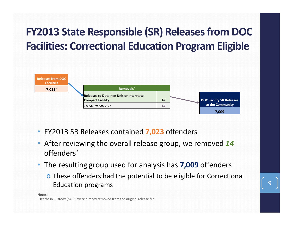# **FY2013 State Responsible (SR) Releases from DOC Facilities: Correctional Education Program Eligible**



- FY2013 SR Releases contained **7,023** offenders
- After reviewing the overall release group, we removed *14* offenders\*
- The resulting group used for analysis has **7,009** offenders
	- o These offenders had the potential to be eligible for Correctional Education programs

**Notes:**

†Deaths in Custody (n=83) were already removed from the original release file.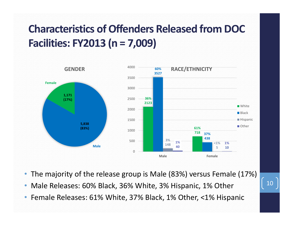

- The majority of the release group is Male (83%) versus Female (17%)
- •Male Releases: 60% Black, 36% White, 3% Hispanic, 1% Other
- •Female Releases: 61% White, 37% Black, 1% Other, <1% Hispanic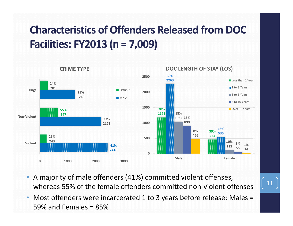

- A majority of male offenders (41%) committed violent offenses, whereas 55% of the female offenders committed non-violent offenses
- Most offenders were incarcerated 1 to 3 years before release: Males = 59% and Females = 85%

11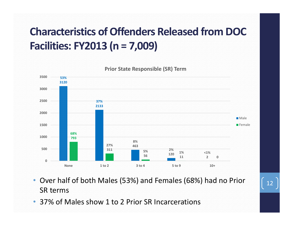

- Over half of both Males (53%) and Females (68%) had no Prior SR terms
- •37% of Males show 1 to 2 Prior SR Incarcerations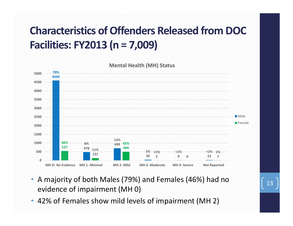

- A majority of both Males (79%) and Females (46%) had no evidence of impairment (MH 0)
- 42% of Females show mild levels of impairment (MH 2)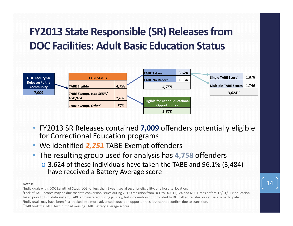# **FY2013 State Responsible (SR) Releases from DOC Facilities: Adult Basic Education Status**



- FY2013 SR Releases contained **7,009** offenders potentially eligible for Correctional Education programs
- We identified *2,251* TABE Exempt offenders
- The resulting group used for analysis has **4,758** offenders
	- $\circ$  3,624 of these individuals have taken the TABE and 96.1% (3,484) have received a Battery Average score

#### **Notes:**

\*Individuals with: DOC Length of Stays (LOS) of less than 1 year; social security eligibility, or a hospital location. †Lack of TABE scores may be due to: data conversion issues during 2012 transition from DCE to DOC (1,124 had NCC Dates before 12/31/11); education taken prior to DCE data system; TABE administered during jail stay, but information not provided to DOC after transfer; or refusals to participate. ‡Individuals may have been fast‐tracked into more advanced education opportunities, but cannot confirm due to transition. \*\*140 took the TABE test, but had missing TABE Battery Average scores.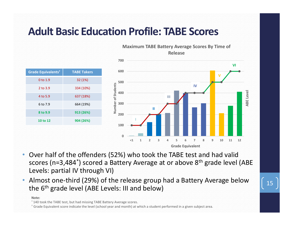### **Adult Basic Education Profile: TABE Scores**



- • Over half of the offenders (52%) who took the TABE test and had valid scores (n=3,484<sup>\*</sup>) scored a Battery Average at or above 8<sup>th</sup> grade level (ABE) Levels: partial IV through VI)
- Almost one-third (29%) of the release group had a Battery Average below All lost one-time (29%) of the release group had a battery Average below  $\begin{bmatrix} 15 \\ 15 \end{bmatrix}$

#### **Note:**

\* 140 took the TABE test, but had missing TABE Battery Average scores.

† Grade Equivalent score indicate the level (school year and month) at which a student performed in a given subject area.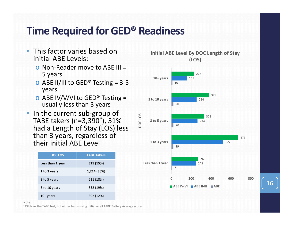#### **Time Required for GED® Readiness**

- This factor varies based on initial ABE Levels:
	- o Non‐Reader move to ABE III = 5 years
	- $\circ$  ABE II/III to GED<sup>®</sup> Testing = 3-5 years
	- $\circ$  ABE IV/V/VI to GED<sup>®</sup> Testing = usually less than 3 years
- In the current sub-group of TABE takers (n=3,390 \*), 51% had a Length of Stay (LOS) less than 3 years, regardless of their initial ABE Level

| <b>DOC LOS</b>   | <b>TABE Takers</b> |
|------------------|--------------------|
| Less than 1 year | 521 (15%)          |
| 1 to 3 years     | 1,214 (36%)        |
| 3 to 5 years     | 611 (18%)          |
| 5 to 10 years    | 652 (19%)          |
| $10+$ years      | 392 (12%)          |



**Note:**

\*234 took the TABE test, but either had missing initial or all TABE Battery Average scores.

16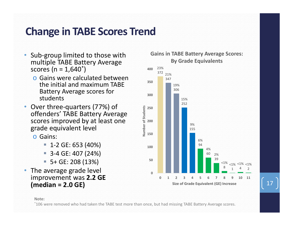#### **Change in TABE Scores Trend**

- • Sub‐group limited to those with multiple TABE Battery Average scores (n = 1,640 \*)
	- o Gains were calculated between the initial and maximum TABE Battery Average scores for students
- • Over three‐quarters (77%) of offenders' TABE Battery Average scores improved by at least one grade equivalent level
	- o Gains:
		- $-1$ -2 GE: 653 (40%)
		- 3-4 GE: 407 (24%)
		- 5+ GE: 208 (13%)
- • The average grade level improvement was **2.2 GE**



#### **Note:**

\*106 were removed who had taken the TABE test more than once, but had missing TABE Battery Average scores.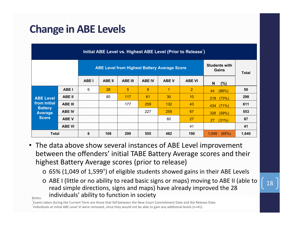### **Change in ABE Levels**

| Initial ABE Level vs. Highest ABE Level (Prior to Release <sup>*</sup> )             |                |             |                               |                |               |              |                 |                    |       |  |  |  |
|--------------------------------------------------------------------------------------|----------------|-------------|-------------------------------|----------------|---------------|--------------|-----------------|--------------------|-------|--|--|--|
| <b>ABE Level from Highest Battery Average Score</b>                                  |                |             | <b>Students with</b><br>Gains | <b>Total</b>   |               |              |                 |                    |       |  |  |  |
|                                                                                      |                | <b>ABEI</b> | <b>ABE II</b>                 | <b>ABE III</b> | <b>ABE IV</b> | <b>ABE V</b> | <b>ABE VI</b>   | $\mathbf N$<br>(%) |       |  |  |  |
| <b>ABE Level</b><br>from Initial<br><b>Battery</b><br><b>Average</b><br><b>Score</b> | <b>ABE I</b>   | 6           | 28                            | 5              | 8             | 1            | $\overline{2}$  | (88%)<br>44        | 50    |  |  |  |
|                                                                                      | <b>ABE II</b>  |             | 80                            | 117            | 61            | 30           | 10 <sup>°</sup> | (73%)<br>218       | 298   |  |  |  |
|                                                                                      | <b>ABE III</b> |             |                               | 177            | 259           | 132          | 43              | (71%)<br>434       | 611   |  |  |  |
|                                                                                      | <b>ABE IV</b>  |             |                               |                | 227           | 259          | 67              | (59%)<br>326       | 553   |  |  |  |
|                                                                                      | <b>ABE V</b>   |             |                               |                |               | 60           | 27              | (31%)<br>27        | 87    |  |  |  |
|                                                                                      | <b>ABE VI</b>  |             |                               |                |               |              | 41              |                    | 41    |  |  |  |
| <b>Total</b>                                                                         |                | 6           | 108                           | 299            | 555           | 482          | 190             | (65%)<br>1.049     | 1,640 |  |  |  |

- The data above show several instances of ABE Level improvement between the offenders' initial TABE Battery Average scores and their highest Battery Average scores (prior to release)
	- $\circ$  65% (1,049 of 1,599<sup>+</sup>) of eligible students showed gains in their ABE Levels
	- o ABE I (little or no ability to read basic signs or maps) moving to ABE II (able to read simple directions, signs and maps) have already improved the 28 individuals' ability to function in society

Notes:\*

Exams taken during the Current Term are those that fall between the New Court Commitment Date and the Release Date.<br>Findividuals at initial ABE Level VI were removed, since they would not be able to gain any additional lev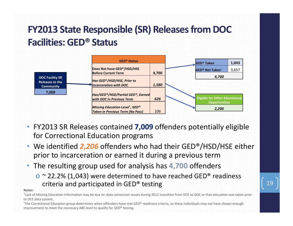### **FY2013 State Responsible (SR) Releases from DOC Facilities: GED® Status**



- FY2013 SR Releases contained **7,009** offenders potentially eligible for Correctional Education programs
- We identified *2,206* offenders who had their GED®/HSD/HSE either prior to incarceration or earned it during a previous term
- The resulting group used for analysis has **4,700** offenders
	- $\circ$   $\sim$  22.2% (1,043) were determined to have reached GED® readiness criteria and participated in GED® testing 19

#### **Notes:**

\*Lack of Missing Education Information may be due to: data conversion issues during 2012 transition from DCE to DOC or that education was taken prior to DCE data system.

†The Correctional Education group determines when offenders have met GED® readiness criteria, so these individuals may not have shown enough improvement to meet the necessary ABE level to qualify for GED® testing.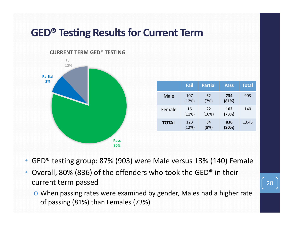#### **GED® Testing Results for Current Term**

#### **CURRENT TERM GED® TESTING**



|              | <b>Fail</b>  | <b>Partial</b> | <b>Pass</b>  | <b>Total</b> |
|--------------|--------------|----------------|--------------|--------------|
| Male         | 107<br>(12%) | 62<br>(7%)     | 734<br>(81%) | 903          |
| Female       | 16<br>(11%)  | 22<br>(16%)    | 102<br>(73%) | 140          |
| <b>TOTAL</b> | 123<br>(12%) | 84<br>(8%)     | 836<br>(80%) | 1,043        |

- •GED® testing group: 87% (903) were Male versus 13% (140) Female
- • Overall, 80% (836) of the offenders who took the GED® in their current term passed
	- o When passing rates were examined by gender, Males had a higher rate of passing (81%) than Females (73%)

20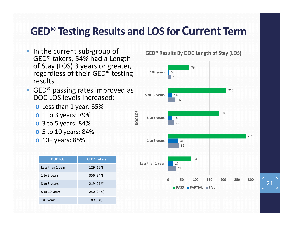#### **GED® Testing Results and LOS for Current Term**

- In the current sub-group of GED® takers, 54% had a Length of Stay (LOS) 3 years or greater, regardless of their GED® testing results
- GED® passing rates improved as DOC LOS levels increased:
	- $\circ$  Less than 1 year: 65%
	- $\circ$  1 to 3 years: 79%
	- o 3 to 5 years: 84%
	- o 5 to 10 years: 84%
	- o 10+ years: 85%

| <b>DOC LOS</b>   | <b>GED<sup>®</sup> Takers</b> |
|------------------|-------------------------------|
| Less than 1 year | 129 (12%)                     |
| 1 to 3 years     | 356 (34%)                     |
| 3 to 5 years     | 219 (21%)                     |
| 5 to 10 years    | 250 (24%)                     |
| $10+$ years      | 89 (9%)                       |

**GED® Results By DOC Length of Stay (LOS)**

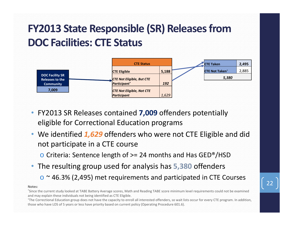# **FY2013 State Responsible (SR) Releases from DOC Facilities: CTE Status**



- FY2013 SR Releases contained **7,009** offenders potentially eligible for Correctional Education programs
- We identified *1,629* offenders who were not CTE Eligible and did not participate in a CTE course
	- o Criteria: Sentence length of >= 24 months and Has GED®/HSD
- The resulting group used for analysis has **5,380** offenders
	- $\circ$   $\sim$  46.3% (2,495) met requirements and participated in CTE Courses

#### **Notes:**

\*Since the current study looked at TABE Battery Average scores, Math and Reading TABE score minimum level requirements could not be examined and may explain these individuals not being identified as CTE Eligible.

†The Correctional Education group does not have the capacity to enroll all interested offenders, so wait lists occur for every CTE program. In addition, those who have LOS of 5 years or less have priority based on current policy (Operating Procedure 601.6).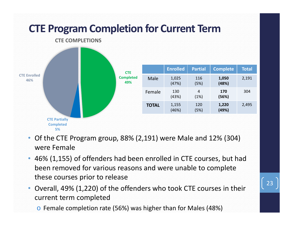

- Of the CTE Program group, 88% (2,191) were Male and 12% (304) were Female
- 46% (1,155) of offenders had been enrolled in CTE courses, but had been removed for various reasons and were unable to complete these courses prior to release
- • Overall, 49% (1,220) of the offenders who took CTE courses in their current term completed
	- o Female completion rate (56%) was higher than for Males (48%)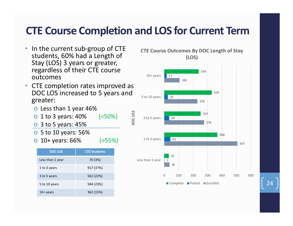#### **CTE Course Completion and LOS for Current Term**

- • In the current sub‐group of CTE students, 60% had a Length of Stay (LOS) 3 years or greater, regardless of their CTE course outcomes
- CTE completion rates improved as DOC LOS increased to 5 years and greater:
	- o Less than 1 year 46%
	- $\circ$  1 to 3 years: 40% (<50%)
	- $\circ$  3 to 5 years: 45%
	- o 5 to 10 years: 56%
	- $\circ$  10+ years: 66% (>55%)

| <b>DOC LOS</b>   | <b>CTE Students</b> |
|------------------|---------------------|
| Less than 1 year | 70 (3%)             |
| 1 to 3 years     | 917 (37%)           |
| 3 to 5 years     | 562 (22%)           |
| 5 to 10 years    | 584 (23%)           |
| $10+$ years      | 362 (15%)           |





24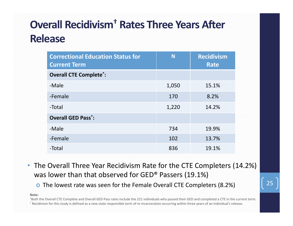# **Overall Recidivism† Rates Three Years After Release**

| <b>Correctional Education Status for</b><br><b>Current Term</b> | N     | <b>Recidivism</b><br><b>Rate</b> |
|-----------------------------------------------------------------|-------|----------------------------------|
| <b>Overall CTE Complete*:</b>                                   |       |                                  |
| -Male                                                           | 1,050 | 15.1%                            |
| -Female                                                         | 170   | 8.2%                             |
| -Total                                                          | 1,220 | 14.2%                            |
| <b>Overall GED Pass<sup>*</sup>:</b>                            |       |                                  |
| -Male                                                           | 734   | 19.9%                            |
| -Female                                                         | 102   | 13.7%                            |
| -Total                                                          | 836   | 19.1%                            |

• The Overall Three Year Recidivism Rate for the CTE Completers (14.2%) was lower than that observed for GED® Passers (19.1%)

 $\circ$  The lowest rate was seen for the Female Overall CTE Completers (8.2%)  $\left[\right]$  25

**Note:**

\*Both the Overall CTE Complete and Overall GED Pass rates include the 221 individuals who passed their GED and completed a CTE in the current term. † Recidivism for this study is defined as a new state responsible term of re‐incarceration occurring within three years of an individual's release.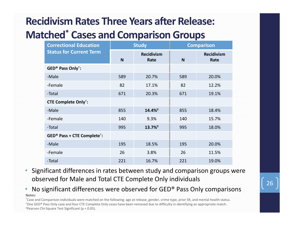#### **Recidivism Rates Three Years after Release: Matched \* Cases and Comparison Groups**

| <b>Correctional Education</b>                       |     | <b>Study</b>              | <b>Comparison</b> |                           |
|-----------------------------------------------------|-----|---------------------------|-------------------|---------------------------|
| <b>Status for Current Term</b>                      | N   | <b>Recidivism</b><br>Rate | N                 | <b>Recidivism</b><br>Rate |
| GED <sup>®</sup> Pass Only <sup>†</sup> :           |     |                           |                   |                           |
| -Male                                               | 589 | 20.7%                     | 589               | 20.0%                     |
| -Female                                             | 82  | 17.1%                     | 82                | 12.2%                     |
| -Total                                              | 671 | 20.3%                     | 671               | 19.1%                     |
| <b>CTE Complete Only<sup>†</sup></b> :              |     |                           |                   |                           |
| -Male                                               | 855 | 14.4% <sup>#</sup>        | 855               | 18.4%                     |
| -Female                                             | 140 | 9.3%                      | 140               | 15.7%                     |
| -Total                                              | 995 | 13.7%                     | 995               | 18.0%                     |
| GED <sup>®</sup> Pass + CTE Complete <sup>†</sup> : |     |                           |                   |                           |
| -Male                                               | 195 | 18.5%                     | 195               | 20.0%                     |
| -Female                                             | 26  | 3.8%                      | 26                | 11.5%                     |
| -Total                                              | 221 | 16.7%                     | 221               | 19.0%                     |

• Significant differences in rates between study and comparison groups were observed for Male and Total CTE Complete Only individuals

#### • No significant differences were observed for GED® Pass Only comparisons **Notes:**

\*Case and Comparison individuals were matched on the following: age at release, gender, crime type, prior SR, and mental health status. †One GED® Pass Only case and four CTE Complete Only cases have been removed due to difficulty in identifying an appropriate match. ‡Pearson Chi‐Square Test Significant (p < 0.05).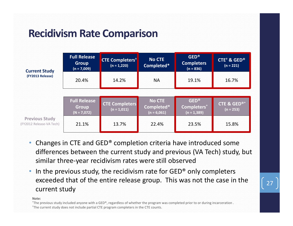### **Recidivism Rate Comparison**

| <b>Current Study</b>                              | <b>Full Release</b><br><b>Group</b><br>$(n = 7,009)$ | <b>CTE Completers<sup>t</sup></b><br>$(n = 1,220)$ | No CTE<br>Completed*                         | <b>GED®</b><br><b>Completers</b><br>$(n = 836)$ | CTE <sup>+</sup> & GED <sup>®</sup><br>$(n = 221)$ |
|---------------------------------------------------|------------------------------------------------------|----------------------------------------------------|----------------------------------------------|-------------------------------------------------|----------------------------------------------------|
| (FY2013 Release)                                  | 20.4%                                                | 14.2%                                              | <b>NA</b>                                    | 19.1%                                           | 16.7%                                              |
|                                                   |                                                      |                                                    |                                              |                                                 |                                                    |
|                                                   | <b>Full Release</b><br><b>Group</b><br>$(N = 7,072)$ | <b>CTE Completers</b><br>$(n = 1,011)$             | <b>No CTE</b><br>Completed*<br>$(n = 6,061)$ | <b>GED®</b><br>Completers*<br>$(n = 1,389)$     | <b>CTE &amp; GED®*</b><br>$(n = 253)$              |
| <b>Previous Study</b><br>(FY2012 Release-VA Tech) | 21.1%                                                | 13.7%                                              | 22.4%                                        | 23.5%                                           | 15.8%                                              |

- • Changes in CTE and GED® completion criteria have introduced some differences between the current study and previous (VA Tech) study, but similar three‐year recidivism rates were still observed
- • In the previous study, the recidivism rate for GED® only completers exceeded that of the entire release group. This was not the case in the current study

#### **Note:**

\*The previous study included anyone with a GED®, regardless of whether the program was completed prior to or during incarceration . †The current study does not include partial CTE program completers in the CTE counts.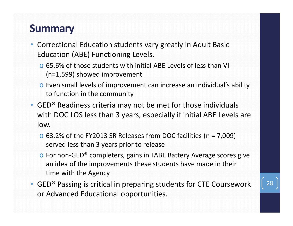#### **Summary**

- Correctional Education students vary greatly in Adult Basic Education (ABE) Functioning Levels.
	- o 65.6% of those students with initial ABE Levels of less than VI (n=1,599) showed improvement
	- o Even small levels of improvement can increase an individual's ability to function in the community
- GED® Readiness criteria may not be met for those individuals with DOC LOS less than 3 years, especially if initial ABE Levels are low.
	- $\circ$  63.2% of the FY2013 SR Releases from DOC facilities (n = 7,009) served less than 3 years prior to release
	- **○** For non-GED<sup>®</sup> completers, gains in TABE Battery Average scores give an idea of the improvements these students have made in their time with the Agency
- GED® Passing is critical in preparing students for CTE Coursework or Advanced Educational opportunities.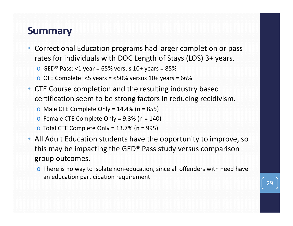#### **Summary**

• Correctional Education programs had larger completion or pass rates for individuals with DOC Length of Stays (LOS) 3+ years.

 $\circ$  GED® Pass: <1 year = 65% versus 10+ years = 85%

- $\circ$  CTE Complete: <5 years = <50% versus 10+ years = 66%
- CTE Course completion and the resulting industry based certification seem to be strong factors in reducing recidivism.
	- $\circ$  Male CTE Complete Only = 14.4% (n = 855)
	- $\circ$  Female CTE Complete Only = 9.3% (n = 140)
	- $\circ$  Total CTE Complete Only = 13.7% (n = 995)
- All Adult Education students have the opportunity to improve, so this may be impacting the GED® Pass study versus comparison group outcomes.
	- $\circ$  There is no way to isolate non-education, since all offenders with need have an education participation requirement